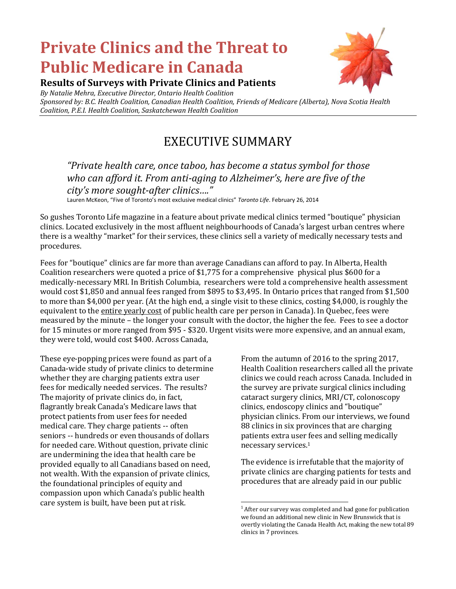# **Private Clinics and the Threat to Public Medicare in Canada**



### **Results of Surveys with Private Clinics and Patients**

*By Natalie Mehra, Executive Director, Ontario Health Coalition Sponsored by: B.C. Health Coalition, Canadian Health Coalition, Friends of Medicare (Alberta), Nova Scotia Health Coalition, P.E.I. Health Coalition, Saskatchewan Health Coalition*

## EXECUTIVE SUMMARY

### *"Private health care, once taboo, has become a status symbol for those who can afford it. From anti-aging to Alzheimer's, here are five of the city's more sought-after clinics…."*

Lauren McKeon, "Five of Toronto's most exclusive medical clinics" *Toronto Life*. February 26, 2014

So gushes Toronto Life magazine in a feature about private medical clinics termed "boutique" physician clinics. Located exclusively in the most affluent neighbourhoods of Canada's largest urban centres where there is a wealthy "market" for their services, these clinics sell a variety of medically necessary tests and procedures.

Fees for "boutique" clinics are far more than average Canadians can afford to pay. In Alberta, Health Coalition researchers were quoted a price of \$1,775 for a comprehensive physical plus \$600 for a medically-necessary MRI. In British Columbia, researchers were told a comprehensive health assessment would cost \$1,850 and annual fees ranged from \$895 to \$3,495. In Ontario prices that ranged from \$1,500 to more than \$4,000 per year. (At the high end, a single visit to these clinics, costing \$4,000, is roughly the equivalent to the entire yearly cost of public health care per person in Canada). In Quebec, fees were measured by the minute – the longer your consult with the doctor, the higher the fee. Fees to see a doctor for 15 minutes or more ranged from \$95 - \$320. Urgent visits were more expensive, and an annual exam, they were told, would cost \$400. Across Canada,

These eye-popping prices were found as part of a Canada-wide study of private clinics to determine whether they are charging patients extra user fees for medically needed services. The results? The majority of private clinics do, in fact, flagrantly break Canada's Medicare laws that protect patients from user fees for needed medical care. They charge patients -- often seniors -- hundreds or even thousands of dollars for needed care. Without question, private clinic are undermining the idea that health care be provided equally to all Canadians based on need, not wealth. With the expansion of private clinics, the foundational principles of equity and compassion upon which Canada's public health care system is built, have been put at risk.

From the autumn of 2016 to the spring 2017, Health Coalition researchers called all the private clinics we could reach across Canada. Included in the survey are private surgical clinics including cataract surgery clinics, MRI/CT, colonoscopy clinics, endoscopy clinics and "boutique" physician clinics. From our interviews, we found 88 clinics in six provinces that are charging patients extra user fees and selling medically necessary services.<sup>1</sup>

The evidence is irrefutable that the majority of private clinics are charging patients for tests and procedures that are already paid in our public

 $\overline{a}$ <sup>1</sup> After our survey was completed and had gone for publication we found an additional new clinic in New Brunswick that is overtly violating the Canada Health Act, making the new total 89 clinics in 7 provinces.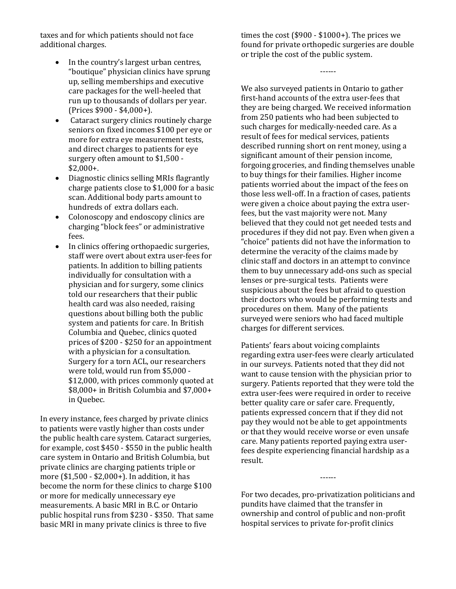taxes and for which patients should not face additional charges.

- In the country's largest urban centres, "boutique" physician clinics have sprung up, selling memberships and executive care packages for the well-heeled that run up to thousands of dollars per year. (Prices \$900 - \$4,000+).
- Cataract surgery clinics routinely charge seniors on fixed incomes \$100 per eye or more for extra eye measurement tests, and direct charges to patients for eye surgery often amount to \$1,500 - \$2,000+.
- Diagnostic clinics selling MRIs flagrantly charge patients close to \$1,000 for a basic scan. Additional body parts amount to hundreds of extra dollars each.
- Colonoscopy and endoscopy clinics are charging "block fees" or administrative fees.
- In clinics offering orthopaedic surgeries, staff were overt about extra user-fees for patients. In addition to billing patients individually for consultation with a physician and for surgery, some clinics told our researchers that their public health card was also needed, raising questions about billing both the public system and patients for care. In British Columbia and Quebec, clinics quoted prices of \$200 - \$250 for an appointment with a physician for a consultation. Surgery for a torn ACL, our researchers were told, would run from \$5,000 - \$12,000, with prices commonly quoted at \$8,000+ in British Columbia and \$7,000+ in Quebec.

In every instance, fees charged by private clinics to patients were vastly higher than costs under the public health care system. Cataract surgeries, for example, cost \$450 - \$550 in the public health care system in Ontario and British Columbia, but private clinics are charging patients triple or more (\$1,500 - \$2,000+). In addition, it has become the norm for these clinics to charge \$100 or more for medically unnecessary eye measurements. A basic MRI in B.C. or Ontario public hospital runs from \$230 - \$350. That same basic MRI in many private clinics is three to five

times the cost (\$900 - \$1000+). The prices we found for private orthopedic surgeries are double or triple the cost of the public system.

------

We also surveyed patients in Ontario to gather first-hand accounts of the extra user-fees that they are being charged. We received information from 250 patients who had been subjected to such charges for medically-needed care. As a result of fees for medical services, patients described running short on rent money, using a significant amount of their pension income, forgoing groceries, and finding themselves unable to buy things for their families. Higher income patients worried about the impact of the fees on those less well-off. In a fraction of cases, patients were given a choice about paying the extra userfees, but the vast majority were not. Many believed that they could not get needed tests and procedures if they did not pay. Even when given a "choice" patients did not have the information to determine the veracity of the claims made by clinic staff and doctors in an attempt to convince them to buy unnecessary add-ons such as special lenses or pre-surgical tests. Patients were suspicious about the fees but afraid to question their doctors who would be performing tests and procedures on them. Many of the patients surveyed were seniors who had faced multiple charges for different services.

Patients' fears about voicing complaints regarding extra user-fees were clearly articulated in our surveys. Patients noted that they did not want to cause tension with the physician prior to surgery. Patients reported that they were told the extra user-fees were required in order to receive better quality care or safer care. Frequently, patients expressed concern that if they did not pay they would not be able to get appointments or that they would receive worse or even unsafe care. Many patients reported paying extra userfees despite experiencing financial hardship as a result.

For two decades, pro-privatization politicians and pundits have claimed that the transfer in ownership and control of public and non-profit hospital services to private for-profit clinics

------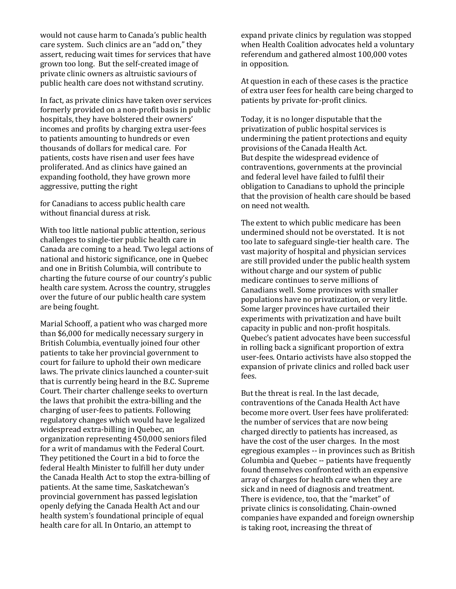would not cause harm to Canada's public health care system. Such clinics are an "add on," they assert, reducing wait times for services that have grown too long. But the self-created image of private clinic owners as altruistic saviours of public health care does not withstand scrutiny.

In fact, as private clinics have taken over services formerly provided on a non-profit basis in public hospitals, they have bolstered their owners' incomes and profits by charging extra user-fees to patients amounting to hundreds or even thousands of dollars for medical care. For patients, costs have risen and user fees have proliferated. And as clinics have gained an expanding foothold, they have grown more aggressive, putting the right

for Canadians to access public health care without financial duress at risk.

With too little national public attention, serious challenges to single-tier public health care in Canada are coming to a head. Two legal actions of national and historic significance, one in Quebec and one in British Columbia, will contribute to charting the future course of our country's public health care system. Across the country, struggles over the future of our public health care system are being fought.

Marial Schooff, a patient who was charged more than \$6,000 for medically necessary surgery in British Columbia, eventually joined four other patients to take her provincial government to court for failure to uphold their own medicare laws. The private clinics launched a counter-suit that is currently being heard in the B.C. Supreme Court. Their charter challenge seeks to overturn the laws that prohibit the extra-billing and the charging of user-fees to patients. Following regulatory changes which would have legalized widespread extra-billing in Quebec, an organization representing 450,000 seniors filed for a writ of mandamus with the Federal Court. They petitioned the Court in a bid to force the federal Health Minister to fulfill her duty under the Canada Health Act to stop the extra-billing of patients. At the same time, Saskatchewan's provincial government has passed legislation openly defying the Canada Health Act and our health system's foundational principle of equal health care for all. In Ontario, an attempt to

expand private clinics by regulation was stopped when Health Coalition advocates held a voluntary referendum and gathered almost 100,000 votes in opposition.

At question in each of these cases is the practice of extra user fees for health care being charged to patients by private for-profit clinics.

Today, it is no longer disputable that the privatization of public hospital services is undermining the patient protections and equity provisions of the Canada Health Act. But despite the widespread evidence of contraventions, governments at the provincial and federal level have failed to fulfil their obligation to Canadians to uphold the principle that the provision of health care should be based on need not wealth.

The extent to which public medicare has been undermined should not be overstated. It is not too late to safeguard single-tier health care. The vast majority of hospital and physician services are still provided under the public health system without charge and our system of public medicare continues to serve millions of Canadians well. Some provinces with smaller populations have no privatization, or very little. Some larger provinces have curtailed their experiments with privatization and have built capacity in public and non-profit hospitals. Quebec's patient advocates have been successful in rolling back a significant proportion of extra user-fees. Ontario activists have also stopped the expansion of private clinics and rolled back user fees.

But the threat is real. In the last decade, contraventions of the Canada Health Act have become more overt. User fees have proliferated: the number of services that are now being charged directly to patients has increased, as have the cost of the user charges. In the most egregious examples -- in provinces such as British Columbia and Quebec -- patients have frequently found themselves confronted with an expensive array of charges for health care when they are sick and in need of diagnosis and treatment. There is evidence, too, that the "market" of private clinics is consolidating. Chain-owned companies have expanded and foreign ownership is taking root, increasing the threat of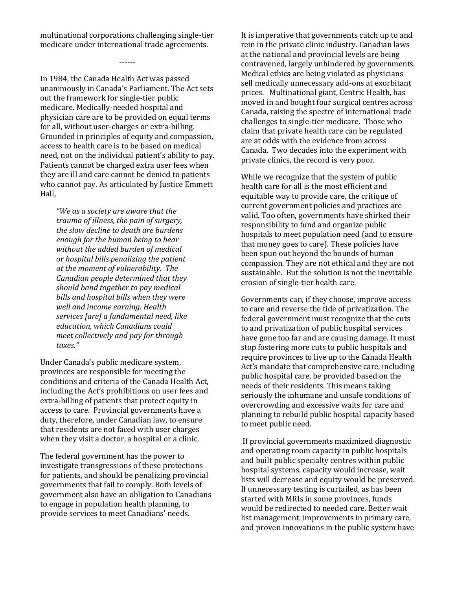multinational corporations challenging single-tier medicare under international trade agreements.

------

In 1984, the Canada Health Act was passed unanimously in Canada's Parliament. The Act sets out the framework for single-tier public medicare. Medically-needed hospital and physician care are to be provided on equal terms for all, without user-charges or extra-billing. Grounded in principles of equity and compassion, access to health care is to be based on medical need, not on the individual patient's ability to pay. Patients cannot be charged extra user fees when they are ill and care cannot be denied to patients who cannot pay. As articulated by Justice Emmett Hall,

*"We as a society are aware that the trauma of illness, the pain of surgery, the slow decline to death are burdens enough for the human being to bear without the added burden of medical or hospital bills penalizing the patient at the moment of vulnerability. The Canadian people determined that they should band together to pay medical bills and hospital bills when they were well and income earning. Health services [are] a fundamental need, like education, which Canadians could meet collectively and pay for through taxes."*

Under Canada's public medicare system, provinces are responsible for meeting the conditions and criteria of the Canada Health Act, including the Act's prohibitions on user fees and extra-billing of patients that protect equity in access to care. Provincial governments have a duty, therefore, under Canadian law, to ensure that residents are not faced with user charges when they visit a doctor, a hospital or a clinic.

The federal government has the power to investigate transgressions of these protections for patients, and should be penalizing provincial governments that fail to comply. Both levels of government also have an obligation to Canadians to engage in population health planning, to provide services to meet Canadians' needs.

It is imperative that governments catch up to and rein in the private clinic industry. Canadian laws at the national and provincial levels are being contravened, largely unhindered by governments. Medical ethics are being violated as physicians sell medically unnecessary add-ons at exorbitant prices. Multinational giant, Centric Health, has moved in and bought four surgical centres across Canada, raising the spectre of international trade challenges to single-tier medicare. Those who claim that private health care can be regulated are at odds with the evidence from across Canada. Two decades into the experiment with private clinics, the record is very poor.

While we recognize that the system of public health care for all is the most efficient and equitable way to provide care, the critique of current government policies and practices are valid. Too often, governments have shirked their responsibility to fund and organize public hospitals to meet population need (and to ensure that money goes to care). These policies have been spun out beyond the bounds of human compassion. They are not ethical and they are not sustainable. But the solution is not the inevitable erosion of single-tier health care.

Governments can, if they choose, improve access to care and reverse the tide of privatization. The federal government must recognize that the cuts to and privatization of public hospital services have gone too far and are causing damage. It must stop fostering more cuts to public hospitals and require provinces to live up to the Canada Health Act's mandate that comprehensive care, including public hospital care, be provided based on the needs of their residents. This means taking seriously the inhumane and unsafe conditions of overcrowding and excessive waits for care and planning to rebuild public hospital capacity based to meet public need.

If provincial governments maximized diagnostic and operating room capacity in public hospitals and built public specialty centres within public hospital systems, capacity would increase, wait lists will decrease and equity would be preserved. If unnecessary testing is curtailed, as has been started with MRIs in some provinces, funds would be redirected to needed care. Better wait list management, improvements in primary care, and proven innovations in the public system have